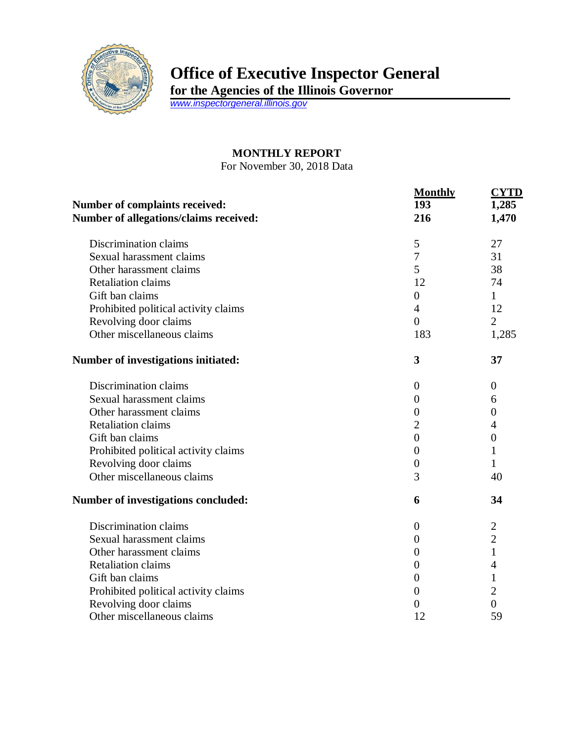

## **Office of Executive Inspector General**

**for the Agencies of the Illinois Governor**

*[www.inspectorgeneral.illinois.gov](http://www.inspectorgeneral.illinois.gov/)*

## **MONTHLY REPORT**

For November 30, 2018 Data

|                                                                                 | <b>Monthly</b>   | <b>CYTD</b>      |
|---------------------------------------------------------------------------------|------------------|------------------|
| <b>Number of complaints received:</b><br>Number of allegations/claims received: | 193              | 1,285<br>1,470   |
|                                                                                 | 216              |                  |
| Discrimination claims                                                           | 5                | 27               |
| Sexual harassment claims                                                        | $\overline{7}$   | 31               |
| Other harassment claims                                                         | 5                | 38               |
| <b>Retaliation claims</b>                                                       | 12               | 74               |
| Gift ban claims                                                                 | $\overline{0}$   | 1                |
| Prohibited political activity claims                                            | $\overline{4}$   | 12               |
| Revolving door claims                                                           | $\overline{0}$   | $\overline{2}$   |
| Other miscellaneous claims                                                      | 183              | 1,285            |
| <b>Number of investigations initiated:</b>                                      | 3                | 37               |
| Discrimination claims                                                           | $\boldsymbol{0}$ | $\overline{0}$   |
| Sexual harassment claims                                                        | 0                | 6                |
| Other harassment claims                                                         | $\boldsymbol{0}$ | $\boldsymbol{0}$ |
| <b>Retaliation claims</b>                                                       | $\overline{2}$   | 4                |
| Gift ban claims                                                                 | $\overline{0}$   | $\boldsymbol{0}$ |
| Prohibited political activity claims                                            | 0                | 1                |
| Revolving door claims                                                           | $\overline{0}$   | 1                |
| Other miscellaneous claims                                                      | 3                | 40               |
| Number of investigations concluded:                                             | 6                | 34               |
| Discrimination claims                                                           | 0                | $\overline{2}$   |
| Sexual harassment claims                                                        | 0                | $\overline{2}$   |
| Other harassment claims                                                         | $\boldsymbol{0}$ | $\mathbf{1}$     |
| <b>Retaliation claims</b>                                                       | $\overline{0}$   | 4                |
| Gift ban claims                                                                 | $\overline{0}$   | $\mathbf{1}$     |
| Prohibited political activity claims                                            | 0                | $\overline{2}$   |
| Revolving door claims                                                           | 0                | $\overline{0}$   |
| Other miscellaneous claims                                                      | 12               | 59               |